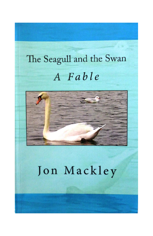## The Seagull and the Swan A Fable



### Jon Mackley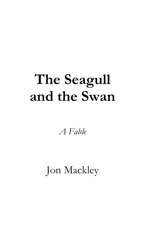# **The Seagull and the Swan**

*A Fable*

Jon Mackley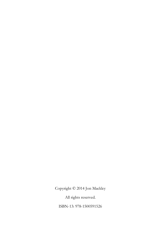Copyright © 2014 Jon Mackley

All rights reserved.

ISBN-13: 978-1500591526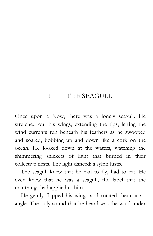### I THE SEAGULL

Once upon a Now, there was a lonely seagull. He stretched out his wings, extending the tips, letting the wind currents run beneath his feathers as he swooped and soared, bobbing up and down like a cork on the ocean. He looked down at the waters, watching the shimmering snickets of light that burned in their collective nests. The light danced: a sylph lustre.

The seagull knew that he had to fly, had to eat. He even knew that he was a seagull, the label that the manthings had applied to him.

He gently flapped his wings and rotated them at an angle. The only sound that he heard was the wind under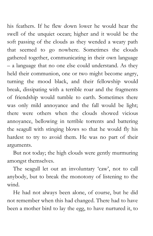his feathers. If he flew down lower he would hear the swell of the unquiet ocean; higher and it would be the soft passing of the clouds as they wended a weary path that seemed to go nowhere. Sometimes the clouds gathered together, communicating in their own language – a language that no one else could understand. As they held their communion, one or two might become angry, turning the mood black, and their fellowship would break, dissipating with a terrible roar and the fragments of friendship would tumble to earth. Sometimes there was only mild annoyance and the fall would be light; there were others when the clouds showed vicious annoyance, bellowing in terrible torrents and battering the seagull with stinging blows so that he would fly his hardest to try to avoid them. He was no part of their arguments.

But not today; the high clouds were gently murmuring amongst themselves.

The seagull let out an involuntary 'caw', not to call anybody, but to break the monotony of listening to the wind.

He had not always been alone, of course, but he did not remember when this had changed. There had to have been a mother bird to lay the egg, to have nurtured it, to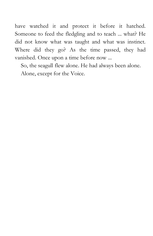have watched it and protect it before it hatched. Someone to feed the fledgling and to teach ... what? He did not know what was taught and what was instinct. Where did they go? As the time passed, they had vanished. Once upon a time before now ...

So, the seagull flew alone. He had always been alone.

Alone, except for the Voice.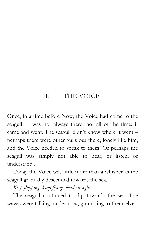#### II THE VOICE

Once, in a time before Now, the Voice had come to the seagull. It was not always there, not all of the time: it came and went. The seagull didn't know where it went – perhaps there were other gulls out there, lonely like him, and the Voice needed to speak to them. Or perhaps the seagull was simply not able to hear, or listen, or understand ...

Today the Voice was little more than a whisper as the seagull gradually descended towards the sea.

*Keep flapping, keep flying, dead straight.*

The seagull continued to dip towards the sea. The waves were talking louder now, grumbling to themselves.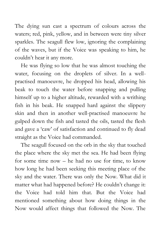The dying sun cast a spectrum of colours across the waters; red, pink, yellow, and in between were tiny silver sparkles. The seagull flew low, ignoring the complaining of the waves, but if the Voice was speaking to him, he couldn't hear it any more.

He was flying so low that he was almost touching the water, focusing on the droplets of silver. In a wellpractised manoeuvre, he dropped his head, allowing his beak to touch the water before snapping and pulling himself up to a higher altitude, rewarded with a writhing fish in his beak. He snapped hard against the slippery skin and then in another well-practised manoeuvre he gulped down the fish and tasted the oils, tasted the flesh and gave a 'caw' of satisfaction and continued to fly dead straight as the Voice had commanded.

The seagull focused on the orb in the sky that touched the place where the sky met the sea. He had been flying for some time now – he had no use for time, to know how long he had been seeking this meeting place of the sky and the water. There was only the Now. What did it matter what had happened before? He couldn't change it: the Voice had told him that. But the Voice had mentioned something about how doing things in the Now would affect things that followed the Now. The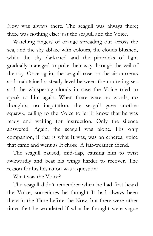Now was always there. The seagull was always there; there was nothing else: just the seagull and the Voice.

Watching fingers of orange spreading out across the sea, and the sky ablaze with colours, the clouds blushed, while the sky darkened and the pinpricks of light gradually managed to poke their way through the veil of the sky. Once again, the seagull rose on the air currents and maintained a steady level between the muttering sea and the whispering clouds in case the Voice tried to speak to him again. When there were no words, no thoughts, no inspiration, the seagull gave another squawk, calling to the Voice to let It know that he was ready and waiting for instruction. Only the silence answered. Again, the seagull was alone. His only companion, if that is what It was, was an ethereal voice that came and went as It chose. A fair-weather friend.

The seagull paused, mid-flap, causing him to twist awkwardly and beat his wings harder to recover. The reason for his hesitation was a question:

What was the Voice?

The seagull didn't remember when he had first heard the Voice; sometimes he thought It had always been there in the Time before the Now, but there were other times that he wondered if what he thought were vague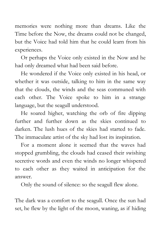memories were nothing more than dreams. Like the Time before the Now, the dreams could not be changed, but the Voice had told him that he could learn from his experiences.

Or perhaps the Voice only existed in the Now and he had only dreamed what had been said before.

He wondered if the Voice only existed in his head, or whether it was outside, talking to him in the same way that the clouds, the winds and the seas communed with each other. The Voice spoke to him in a strange language, but the seagull understood.

He soared higher, watching the orb of fire dipping further and further down as the skies continued to darken. The lush hues of the skies had started to fade. The immaculate artist of the sky had lost its inspiration.

For a moment alone it seemed that the waves had stopped grumbling, the clouds had ceased their swishing secretive words and even the winds no longer whispered to each other as they waited in anticipation for the answer.

Only the sound of silence: so the seagull flew alone.

The dark was a comfort to the seagull. Once the sun had set, he flew by the light of the moon, waning, as if hiding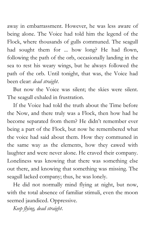away in embarrassment. However, he was less aware of being alone. The Voice had told him the legend of the Flock, where thousands of gulls communed. The seagull had sought them for ... how long? He had flown, following the path of the orb, occasionally landing in the sea to rest his weary wings, but he always followed the path of the orb. Until tonight, that was, the Voice had been clear: *dead straight*.

But now the Voice was silent; the skies were silent. The seagull exhaled in frustration.

If the Voice had told the truth about the Time before the Now, and there truly was a Flock, then how had he become separated from them? He didn't remember ever being a part of the Flock, but now he remembered what the voice had said about them. How they communed in the same way as the elements, how they cawed with laughter and were never alone. He craved their company. Loneliness was knowing that there was something else out there, and knowing that something was missing. The seagull lacked company; thus, he was lonely.

He did not normally mind flying at night, but now, with the total absence of familiar stimuli, even the moon seemed jaundiced. Oppressive.

*Keep flying, dead straight*.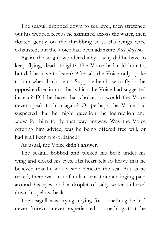The seagull dropped down to sea level, then stretched out his webbed feet as he skimmed across the water, then floated gently on the throbbing seas. His wings were exhausted, but the Voice had been adamant: *Keep flapping*.

Again, the seagull wondered why – why did he have to keep flying, dead straight? The Voice had told him to, but did he have to listen? After all, the Voice only spoke to him when It chose to. Suppose he chose to fly in the opposite direction to that which the Voice had suggested instead? Did he have that choice, or would the Voice never speak to him again? Or perhaps the Voice had suspected that he might question the instruction and *meant* for him to fly that way anyway. Was the Voice offering him advice; was he being offered free will, or had it all been pre-ordained?

As usual, the Voice didn't answer.

The seagull bobbed and tucked his beak under his wing and closed his eyes. His heart felt so heavy that he believed that he would sink beneath the sea. But as he rested, there was an unfamiliar sensation; a stinging pain around his eyes, and a droplet of salty water slithered down his yellow beak.

The seagull was crying; crying for something he had never known, never experienced, something that he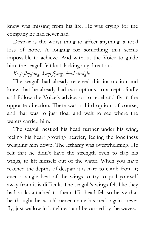knew was missing from his life. He was crying for the company he had never had.

Despair is the worst thing to affect anything: a total loss of hope. A longing for something that seems impossible to achieve. And without the Voice to guide him, the seagull felt lost, lacking any direction.

*Keep flapping, keep flying, dead straight*.

The seagull had already received this instruction and knew that he already had two options, to accept blindly and follow the Voice's advice, or to rebel and fly in the opposite direction. There was a third option, of course, and that was to just float and wait to see where the waters carried him.

The seagull nestled his head further under his wing, feeling his heart growing heavier, feeling the loneliness weighing him down. The lethargy was overwhelming. He felt that he didn't have the strength even to flap his wings, to lift himself out of the water. When you have reached the depths of despair it is hard to climb from it; even a single beat of the wings to try to pull yourself away from it is difficult. The seagull's wings felt like they had rocks attached to them. His head felt so heavy that he thought he would never crane his neck again, never fly, just wallow in loneliness and be carried by the waves.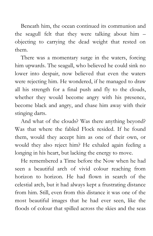Beneath him, the ocean continued its communion and the seagull felt that they were talking about him – objecting to carrying the dead weight that rested on them.

There was a momentary surge in the waters, forcing him upwards. The seagull, who believed he could sink no lower into despair, now believed that even the waters were rejecting him. He wondered, if he managed to draw all his strength for a final push and fly to the clouds, whether they would become angry with his presence, become black and angry, and chase him away with their stinging darts.

And what of the clouds? Was there anything beyond? Was that where the fabled Flock resided. If he found them, would they accept him as one of their own, or would they also reject him? He exhaled again feeling a longing in his heart, but lacking the energy to move.

He remembered a Time before the Now when he had seen a beautiful arch of vivid colour reaching from horizon to horizon. He had flown in search of the celestial arch, but it had always kept a frustrating distance from him. Still, even from this distance it was one of the most beautiful images that he had ever seen, like the floods of colour that spilled across the skies and the seas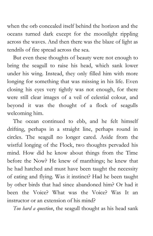when the orb concealed itself behind the horizon and the oceans turned dark except for the moonlight rippling across the waves. And then there was the blaze of light as tendrils of fire spread across the sea.

But even these thoughts of beauty were not enough to bring the seagull to raise his head, which sank lower under his wing. Instead, they only filled him with more longing for something that was missing in his life. Even closing his eyes very tightly was not enough, for there were still clear images of a veil of celestial colour, and beyond it was the thought of a flock of seagulls welcoming him.

The ocean continued to ebb, and he felt himself drifting, perhaps in a straight line, perhaps round in circles. The seagull no longer cared. Aside from the wistful longing of the Flock, two thoughts pervaded his mind. How did he know about things from the Time before the Now? He knew of manthings; he knew that he had hatched and must have been taught the necessity of eating and flying. Was it instinct? Had he been taught by other birds that had since abandoned him? Or had it been the Voice? What was the Voice? Was It an instructor or an extension of his mind?

*Too hard a question*, the seagull thought as his head sank